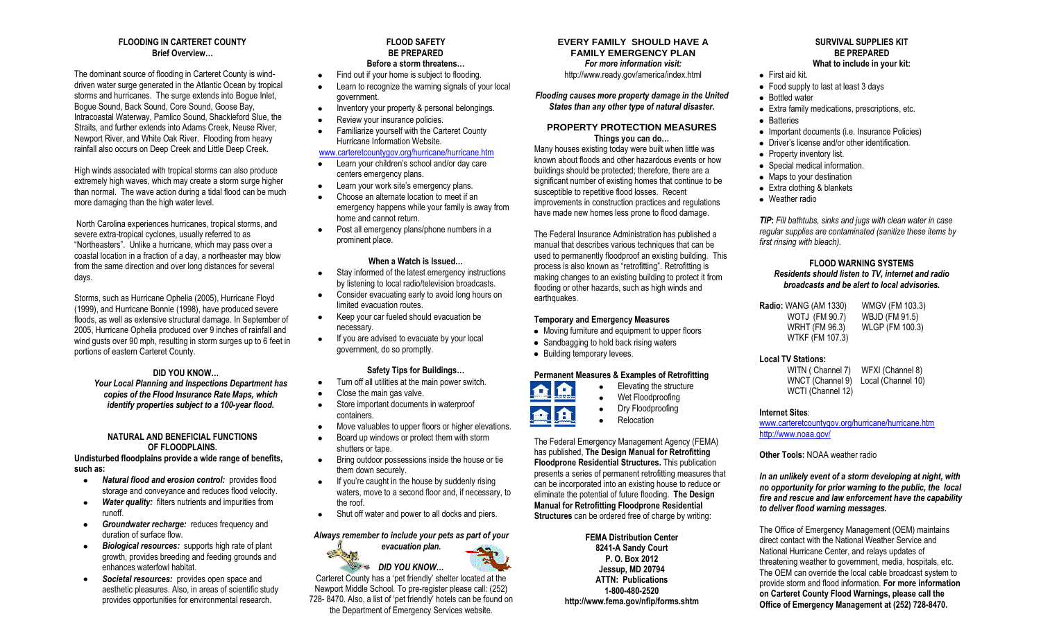## **FLOODING IN CARTERET COUNTY Brief Overview…**

The dominant source of flooding in Carteret County is winddriven water surge generated in the Atlantic Ocean by tropical storms and hurricanes. The surge extends into Bogue Inlet, Bogue Sound, Back Sound, Core Sound, Goose Bay, Intracoastal Waterway, Pamlico Sound, Shackleford Slue, the Straits, and further extends into Adams Creek, Neuse River, Newport River, and White Oak River. Flooding from heavy rainfall also occurs on Deep Creek and Little Deep Creek.

High winds associated with tropical storms can also produce extremely high waves, which may create a storm surge higher than normal. The wave action during a tidal flood can be much more damaging than the high water level.

North Carolina experiences hurricanes, tropical storms, and severe extra-tropical cyclones, usually referred to as "Northeasters". Unlike a hurricane, which may pass over a coastal location in a fraction of a day, a northeaster may blow from the same direction and over long distances for several days.

Storms, such as Hurricane Ophelia (2005), Hurricane Floyd (1999), and Hurricane Bonnie (1998), have produced severe floods, as well as extensive structural damage. In September of 2005, Hurricane Ophelia produced over 9 inches of rainfall and wind gusts over 90 mph, resulting in storm surges up to 6 feet in portions of eastern Carteret County.

**DID YOU KNOW…** *Your Local Planning and Inspections Department has copies of the Flood Insurance Rate Maps, which identify properties subject to a 100-year flood.*

#### **NATURAL AND BENEFICIAL FUNCTIONS OF FLOODPLAINS.**

**Undisturbed floodplains provide a wide range of benefits, such as:**

- **Natural flood and erosion control:** provides flood  $\bullet$ storage and conveyance and reduces flood velocity.
- **Water quality:** filters nutrients and impurities from  $\bullet$ runoff.
- *Groundwater recharge:* reduces frequency and duration of surface flow.
- *Biological resources:* supports high rate of plant  $\bullet$ growth, provides breeding and feeding grounds and enhances waterfowl habitat.
- $\bullet$ **Societal resources:** provides open space and aesthetic pleasures. Also, in areas of scientific study provides opportunities for environmental research.

## **FLOOD SAFETY BE PREPARED Before a storm threatens…**

- Find out if your home is subject to flooding.
- Learn to recognize the warning signals of your local government.
- Inventory your property & personal belongings.  $\bullet$
- Review your insurance policies.
- Familiarize yourself with the Carteret County Hurricane Information Website.
- [www.carteretcountygov.org/hurricane/hurricane.htm](http://www.carteretcountygov.org/hurricane/hurricane.htm)
- Learn your children"s school and/or day care  $\bullet$ centers emergency plans.
- Learn your work site's emergency plans.
- Choose an alternate location to meet if an  $\bullet$ emergency happens while your family is away from home and cannot return.
- Post all emergency plans/phone numbers in a prominent place.

## **When a Watch is Issued…**

- Stay informed of the latest emergency instructions by listening to local radio/television broadcasts.
- Consider evacuating early to avoid long hours on limited evacuation routes.
- Keep your car fueled should evacuation be  $\bullet$ necessary.
- If you are advised to evacuate by your local government, do so promptly.

## **Safety Tips for Buildings…**

- Turn off all utilities at the main power switch.
- Close the main gas valve.
- Store important documents in waterproof containers.
- Move valuables to upper floors or higher elevations.
- Board up windows or protect them with storm shutters or tape.
- Bring outdoor possessions inside the house or tie  $\bullet$ them down securely.
- If you"re caught in the house by suddenly rising waters, move to a second floor and, if necessary, to the roof.
- Shut off water and power to all docks and piers.

## *Always remember to include your pets as part of your*



Carteret County has a "pet friendly" shelter located at the Newport Middle School. To pre-register please call: (252) 728- 8470. Also, a list of "pet friendly" hotels can be found on the Department of Emergency Services website.

#### **EVERY FAMILY SHOULD HAVE A FAMILY EMERGENCY PLAN** *For more information visit:*  http://www.ready.gov/america/index.html

## *Flooding causes more property damage in the United States than any other type of natural disaster.*

## **PROPERTY PROTECTION MEASURES Things you can do…**

Many houses existing today were built when little was known about floods and other hazardous events or how buildings should be protected; therefore, there are a significant number of existing homes that continue to be susceptible to repetitive flood losses. Recent improvements in construction practices and regulations have made new homes less prone to flood damage.

The Federal Insurance Administration has published a manual that describes various techniques that can be used to permanently floodproof an existing building. This process is also known as "retrofitting". Retrofitting is making changes to an existing building to protect it from flooding or other hazards, such as high winds and earthquakes.

## **Temporary and Emergency Measures**

- Moving furniture and equipment to upper floors
- Sandbagging to hold back rising waters
- Building temporary levees.

## **Permanent Measures & Examples of Retrofitting**

- Elevating the structure  $\bullet$
- 
- Dry Floodproofing
- Relocation

The Federal Emergency Management Agency (FEMA) has published, **The Design Manual for Retrofitting Floodprone Residential Structures.** This publication presents a series of permanent retrofitting measures that can be incorporated into an existing house to reduce or eliminate the potential of future flooding. **The Design Manual for Retrofitting Floodprone Residential Structures** can be ordered free of charge by writing:

> **FEMA Distribution Center 8241-A Sandy Court P. O. Box 2012 Jessup, MD 20794 ATTN: Publications 1-800-480-2520 http://www.fema.gov/nfip/forms.shtm**

## **SURVIVAL SUPPLIES KIT BE PREPARED What to include in your kit:**

- First aid kit.
- Food supply to last at least 3 days
- Bottled water
- Extra family medications, prescriptions, etc.
- Batteries
- Important documents (i.e. Insurance Policies)
- Driver"s license and/or other identification.
- Property inventory list.
- Special medical information.
- Maps to your destination
- Extra clothing & blankets
- Weather radio

*TIP***:** *Fill bathtubs, sinks and jugs with clean water in case regular supplies are contaminated (sanitize these items by first rinsing with bleach).*

## **FLOOD WARNING SYSTEMS** *Residents should listen to TV, internet and radio broadcasts and be alert to local advisories.*

| <b>Radio:</b> WANG (AM 1330) | WMGV (FM 103.3) |
|------------------------------|-----------------|
| WOTJ (FM 90.7)               | WBJD (FM 91.5)  |
| WRHT (FM 96.3)               | WLGP (FM 100.3) |
| WTKF (FM 107.3)              |                 |

#### **Local TV Stations:**

WITN ( Channel 7) WFXI (Channel 8) WNCT (Channel 9) Local (Channel 10) WCTI (Channel 12)

#### **Internet Sites**:

[www.carteretcountygov.org/hurricane/hurricane.htm](http://www.carteretcountygov.org/hurricane/hurricane.htm) <http://www.noaa.gov/>

## **Other Tools:** NOAA weather radio

*In an unlikely event of a storm developing at night, with no opportunity for prior warning to the public, the local fire and rescue and law enforcement have the capability to deliver flood warning messages.* 

The Office of Emergency Management (OEM) maintains direct contact with the National Weather Service and National Hurricane Center, and relays updates of threatening weather to government, media, hospitals, etc. The OEM can override the local cable broadcast system to provide storm and flood information. **For more information on Carteret County Flood Warnings, please call the Office of Emergency Management at (252) 728-8470.**

#### Wet Floodproofing  $\bullet$ 血 A  $\bullet$